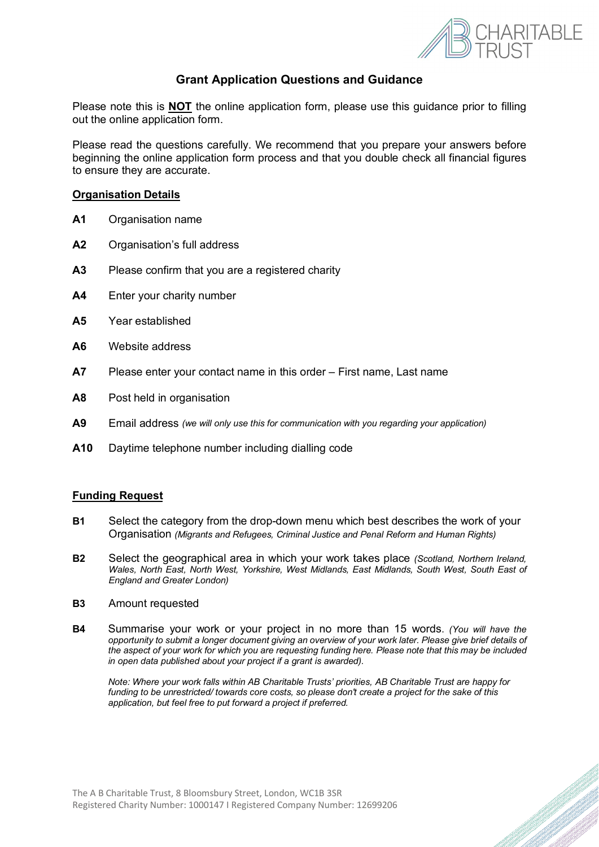

## **Grant Application Questions and Guidance**

Please note this is **NOT** the online application form, please use this guidance prior to filling out the online application form.

Please read the questions carefully. We recommend that you prepare your answers before beginning the online application form process and that you double check all financial figures to ensure they are accurate.

#### **Organisation Details**

- **A1** Organisation name
- **A2** Organisation's full address
- **A3** Please confirm that you are a registered charity
- **A4** Enter your charity number
- **A5** Year established
- **A6** Website address
- **A7** Please enter your contact name in this order First name, Last name
- **A8** Post held in organisation
- **A9** Email address *(we will only use this for communication with you regarding your application)*
- **A10** Daytime telephone number including dialling code

#### **Funding Request**

- **B1** Select the category from the drop-down menu which best describes the work of your Organisation *(Migrants and Refugees, Criminal Justice and Penal Reform and Human Rights)*
- **B2** Select the geographical area in which your work takes place *(Scotland, Northern Ireland, Wales, North East, North West, Yorkshire, West Midlands, East Midlands, South West, South East of England and Greater London)*
- **B3** Amount requested
- **B4** Summarise your work or your project in no more than 15 words. *(You will have the opportunity to submit a longer document giving an overview of your work later. Please give brief details of the aspect of your work for which you are requesting funding here. Please note that this may be included in open data published about your project if a grant is awarded).*

*Note: Where your work falls within AB Charitable Trusts' priorities, AB Charitable Trust are happy for funding to be unrestricted/ towards core costs, so please don't create a project for the sake of this application, but feel free to put forward a project if preferred.*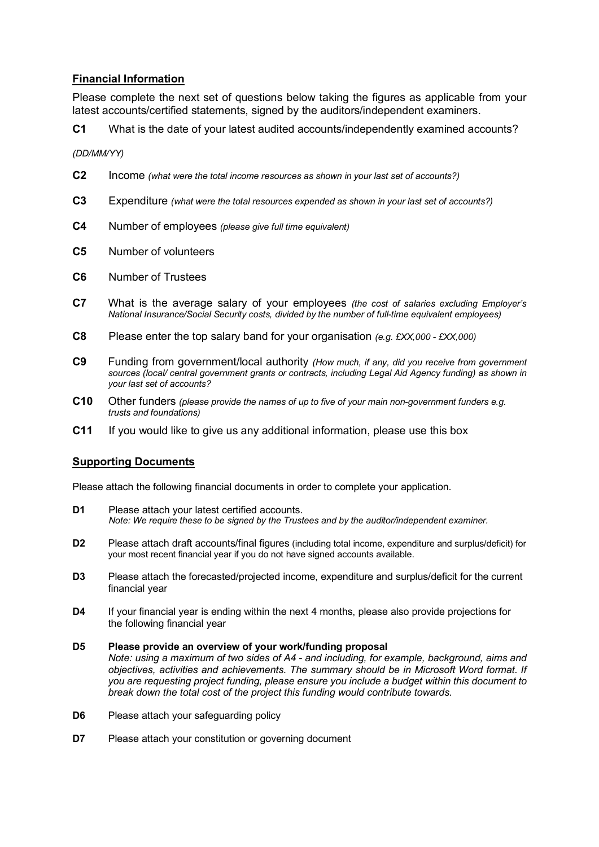### **Financial Information**

Please complete the next set of questions below taking the figures as applicable from your latest accounts/certified statements, signed by the auditors/independent examiners.

**C1** What is the date of your latest audited accounts/independently examined accounts?

*(DD/MM/YY)*

- **C2** Income *(what were the total income resources as shown in your last set of accounts?)*
- **C3** Expenditure *(what were the total resources expended as shown in your last set of accounts?)*
- **C4** Number of employees *(please give full time equivalent)*
- **C5** Number of volunteers
- **C6** Number of Trustees
- **C7** What is the average salary of your employees *(the cost of salaries excluding Employer's National Insurance/Social Security costs, divided by the number of full-time equivalent employees)*
- **C8** Please enter the top salary band for your organisation *(e.g. £XX,000 £XX,000)*
- **C9** Funding from government/local authority *(How much, if any, did you receive from government*  sources (local/ central government grants or contracts, including Legal Aid Agency funding) as shown in *your last set of accounts?*
- **C10** Other funders *(please provide the names of up to five of your main non-government funders e.g. trusts and foundations)*
- **C11** If you would like to give us any additional information, please use this box

#### **Supporting Documents**

Please attach the following financial documents in order to complete your application.

- **D1** Please attach your latest certified accounts. *Note: We require these to be signed by the Trustees and by the auditor/independent examiner.*
- **D2** Please attach draft accounts/final figures (including total income, expenditure and surplus/deficit) for your most recent financial year if you do not have signed accounts available.
- **D3** Please attach the forecasted/projected income, expenditure and surplus/deficit for the current financial year
- **D4** If your financial year is ending within the next 4 months, please also provide projections for the following financial year

# **D5 Please provide an overview of your work/funding proposal** *Note: using a maximum of two sides of A4 - and including, for example, background, aims and*

- *objectives, activities and achievements. The summary should be in Microsoft Word format. If you are requesting project funding, please ensure you include a budget within this document to break down the total cost of the project this funding would contribute towards.*
- **D6** Please attach your safeguarding policy
- **D7** Please attach your constitution or governing document